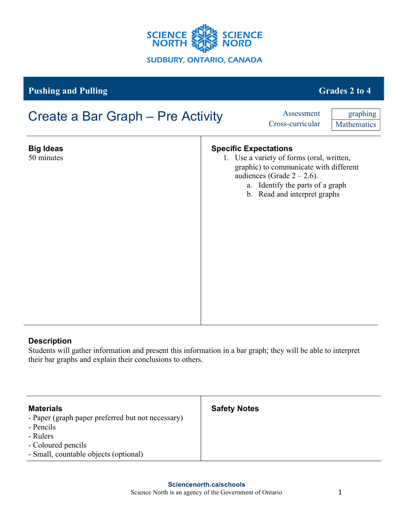

## **Pushing and Pulling Grades 2 to 4**

# **Big Ideas** 50 minutes **Specific Expectations** 1. Use a variety of forms (oral, written, graphic) to communicate with different audiences (Grade  $2 - 2.6$ ). a. Identify the parts of a graph b. Read and interpret graphs Create a Bar Graph – Pre Activity Assessment Cross-curricular graphing **Mathematics**

### **Description**

Students will gather information and present this information in a bar graph; they will be able to interpret their bar graphs and explain their conclusions to others.

| <b>Materials</b>                                  | <b>Safety Notes</b> |
|---------------------------------------------------|---------------------|
| - Paper (graph paper preferred but not necessary) |                     |
| - Pencils                                         |                     |
| - Rulers                                          |                     |
| - Coloured pencils                                |                     |
| - Small, countable objects (optional)             |                     |